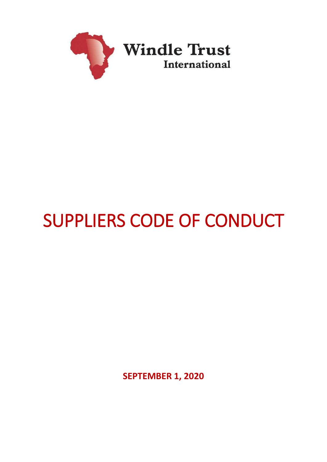

# SUPPLIERS CODE OF CONDUCT

**SEPTEMBER 1, 2020**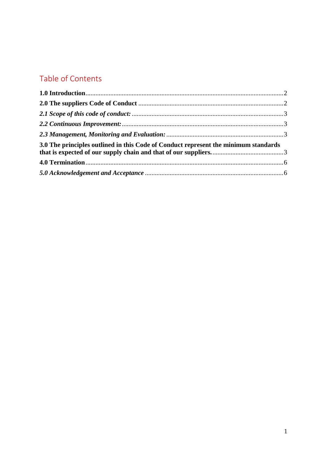# Table of Contents

| 3.0 The principles outlined in this Code of Conduct represent the minimum standards |  |
|-------------------------------------------------------------------------------------|--|
|                                                                                     |  |
|                                                                                     |  |
|                                                                                     |  |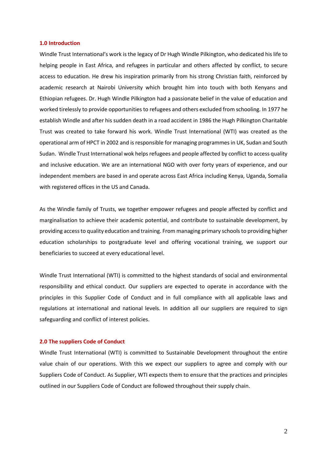#### <span id="page-2-0"></span>**1.0 Introduction**

Windle Trust International's work is the legacy of Dr Hugh Windle Pilkington, who dedicated his life to helping people in East Africa, and refugees in particular and others affected by conflict, to secure access to education. He drew his inspiration primarily from his strong Christian faith, reinforced by academic research at Nairobi University which brought him into touch with both Kenyans and Ethiopian refugees. Dr. Hugh Windle Pilkington had a passionate belief in the value of education and worked tirelessly to provide opportunities to refugees and others excluded from schooling. In 1977 he establish Windle and after his sudden death in a road accident in 1986 the Hugh Pilkington Charitable Trust was created to take forward his work. Windle Trust International (WTI) was created as the operational arm of HPCT in 2002 and is responsible for managing programmes in UK, Sudan and South Sudan. Windle Trust International wok helps refugees and people affected by conflict to access quality and inclusive education. We are an international NGO with over forty years of experience, and our independent members are based in and operate across East Africa including Kenya, Uganda, Somalia with registered offices in the US and Canada.

As the Windle family of Trusts, we together empower refugees and people affected by conflict and marginalisation to achieve their academic potential, and contribute to sustainable development, by providing access to quality education and training. From managing primary schools to providing higher education scholarships to postgraduate level and offering vocational training, we support our beneficiaries to succeed at every educational level.

Windle Trust International (WTI) is committed to the highest standards of social and environmental responsibility and ethical conduct. Our suppliers are expected to operate in accordance with the principles in this Supplier Code of Conduct and in full compliance with all applicable laws and regulations at international and national levels. In addition all our suppliers are required to sign safeguarding and conflict of interest policies.

#### <span id="page-2-1"></span>**2.0 The suppliers Code of Conduct**

Windle Trust International (WTI) is committed to Sustainable Development throughout the entire value chain of our operations. With this we expect our suppliers to agree and comply with our Suppliers Code of Conduct. As Supplier, WTI expects them to ensure that the practices and principles outlined in our Suppliers Code of Conduct are followed throughout their supply chain.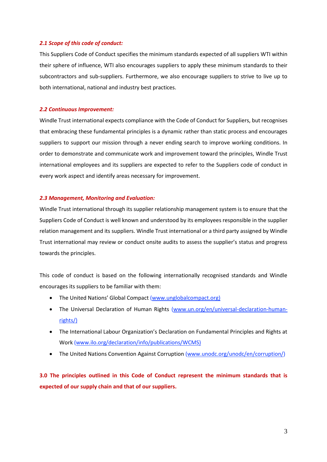# <span id="page-3-0"></span>*2.1 Scope of this code of conduct:*

This Suppliers Code of Conduct specifies the minimum standards expected of all suppliers WTI within their sphere of influence, WTI also encourages suppliers to apply these minimum standards to their subcontractors and sub-suppliers. Furthermore, we also encourage suppliers to strive to live up to both international, national and industry best practices.

# <span id="page-3-1"></span>*2.2 Continuous Improvement:*

Windle Trust international expects compliance with the Code of Conduct for Suppliers, but recognises that embracing these fundamental principles is a dynamic rather than static process and encourages suppliers to support our mission through a never ending search to improve working conditions. In order to demonstrate and communicate work and improvement toward the principles, Windle Trust international employees and its suppliers are expected to refer to the Suppliers code of conduct in every work aspect and identify areas necessary for improvement.

# <span id="page-3-2"></span>*2.3 Management, Monitoring and Evaluation:*

Windle Trust international through its supplier relationship management system is to ensure that the Suppliers Code of Conduct is well known and understood by its employees responsible in the supplier relation management and its suppliers. Windle Trust international or a third party assigned by Windle Trust international may review or conduct onsite audits to assess the supplier's status and progress towards the principles.

This code of conduct is based on the following internationally recognised standards and Windle encourages its suppliers to be familiar with them:

- The United Nations' Global Compact [\(www.unglobalcompact.org\)](http://www.unglobalcompact.org/)
- The Universal Declaration of Human Rights [\(www.un.org/en/universal-declaration-human](http://www.un.org/en/universal-declaration-human-rights/)[rights/\)](http://www.un.org/en/universal-declaration-human-rights/)
- The International Labour Organization's Declaration on Fundamental Principles and Rights at Work (www.ilo.org/declaration/info/publications/WCMS)
- The United Nations Convention Against Corruption [\(www.unodc.org/unodc/en/corruption/\)](http://www.unodc.org/unodc/en/corruption/)

<span id="page-3-3"></span>**3.0 The principles outlined in this Code of Conduct represent the minimum standards that is expected of our supply chain and that of our suppliers.**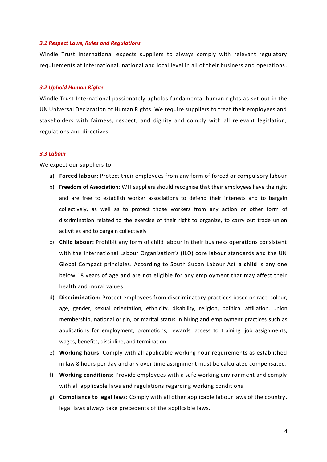#### *3.1 Respect Laws, Rules and Regulations*

Windle Trust International expects suppliers to always comply with relevant regulatory requirements at international, national and local level in all of their business and operations.

#### *3.2 Uphold Human Rights*

Windle Trust International passionately upholds fundamental human rights as set out in the UN Universal Declaration of Human Rights. We require suppliers to treat their employees and stakeholders with fairness, respect, and dignity and comply with all relevant legislation, regulations and directives.

# *3.3 Labour*

We expect our suppliers to:

- a) **Forced labour:** Protect their employees from any form of forced or compulsory labour
- b) **Freedom of Association:** WTI suppliers should recognise that their employees have the right and are free to establish worker associations to defend their interests and to bargain collectively, as well as to protect those workers from any action or other form of discrimination related to the exercise of their right to organize, to carry out trade union activities and to bargain collectively
- c) **Child labour:** Prohibit any form of child labour in their business operations consistent with the International Labour Organisation's (ILO) core labour standards and the UN Global Compact principles. According to South Sudan Labour Act **a child** is any one below 18 years of age and are not eligible for any employment that may affect their health and moral values.
- d) **Discrimination:** Protect employees from discriminatory practices based on race, colour, age, gender, sexual orientation, ethnicity, disability, religion, political affiliation, union membership, national origin, or marital status in hiring and employment practices such as applications for employment, promotions, rewards, access to training, job assignments, wages, benefits, discipline, and termination.
- e) **Working hours:** Comply with all applicable working hour requirements as established in law 8 hours per day and any over time assignment must be calculated compensated.
- f) **Working conditions:** Provide employees with a safe working environment and comply with all applicable laws and regulations regarding working conditions.
- g) **Compliance to legal laws:** Comply with all other applicable labour laws of the country, legal laws always take precedents of the applicable laws.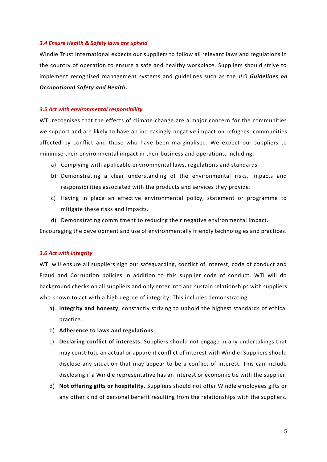#### *3.4 Ensure Health & Safety laws are upheld*

Windle Trust International expects our suppliers to follow all relevant laws and regulations in the country of operation to ensure a safe and healthy workplace. Suppliers should strive to implement recognised management systems and guidelines such as the *ILO Guidelines on Occupational Safety and Health***.**

# *3.5 Act with environmental responsibility*

WTI recognises that the effects of climate change are a major concern for the communities we support and are likely to have an increasingly negative impact on refugees, communities affected by conflict and those who have been marginalised. We expect our suppliers to minimise their environmental impact in their business and operations, including:

- a) Complying with applicable environmental laws, regulations and standards
- b) Demonstrating a clear understanding of the environmental risks, impacts and responsibilities associated with the products and services they provide.
- c) Having in place an effective environmental policy, statement or programme to mitigate these risks and impacts.
- d) Demonstrating commitment to reducing their negative environmental impact.

Encouraging the development and use of environmentally friendly technologies and practices.

# *3.6 Act with integrity*

WTI will ensure all suppliers sign our safeguarding, conflict of interest, code of conduct and Fraud and Corruption policies in addition to this supplier code of conduct. WTI will do background checks on all suppliers and only enter into and sustain relationships with suppliers who known to act with a high degree of integrity. This includes demonstrating:

- a) **Integrity and honesty**, constantly striving to uphold the highest standards of ethical practice.
- b) **Adherence to laws and regulations**.
- c) **Declaring conflict of interests.** Suppliers should not engage in any undertakings that may constitute an actual or apparent conflict of interest with Windle. Suppliers should disclose any situation that may appear to be a conflict of interest. This can include disclosing if a Windle representative has an interest or economic tie with the supplier.
- d) **Not offering gifts or hospitality.** Suppliers should not offer Windle employees gifts or any other kind of personal benefit resulting from the relationships with the suppliers.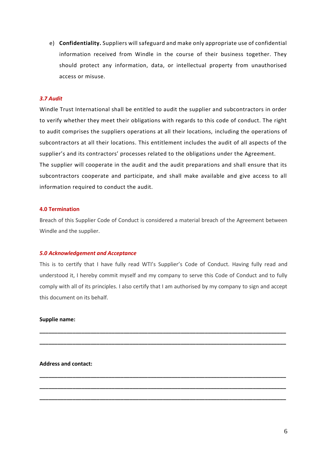e) **Confidentiality.** Suppliers will safeguard and make only appropriate use of confidential information received from Windle in the course of their business together. They should protect any information, data, or intellectual property from unauthorised access or misuse.

# *3.7 Audit*

Windle Trust International shall be entitled to audit the supplier and subcontractors in order to verify whether they meet their obligations with regards to this code of conduct. The right to audit comprises the suppliers operations at all their locations, including the operations of subcontractors at all their locations. This entitlement includes the audit of all aspects of the supplier's and its contractors' processes related to the obligations under the Agreement. The supplier will cooperate in the audit and the audit preparations and shall ensure that its subcontractors cooperate and participate, and shall make available and give access to all information required to conduct the audit.

#### <span id="page-6-0"></span>**4.0 Termination**

Breach of this Supplier Code of Conduct is considered a material breach of the Agreement between Windle and the supplier.

#### <span id="page-6-1"></span>*5.0 Acknowledgement and Acceptance*

This is to certify that I have fully read WTI's Supplier's Code of Conduct. Having fully read and understood it, I hereby commit myself and my company to serve this Code of Conduct and to fully comply with all of its principles. I also certify that I am authorised by my company to sign and accept this document on its behalf.

**\_\_\_\_\_\_\_\_\_\_\_\_\_\_\_\_\_\_\_\_\_\_\_\_\_\_\_\_\_\_\_\_\_\_\_\_\_\_\_\_\_\_\_\_\_\_\_\_\_\_\_\_\_\_\_\_\_\_\_\_\_\_\_\_\_\_\_\_\_\_\_\_\_\_\_\_\_\_\_\_\_\_**

**\_\_\_\_\_\_\_\_\_\_\_\_\_\_\_\_\_\_\_\_\_\_\_\_\_\_\_\_\_\_\_\_\_\_\_\_\_\_\_\_\_\_\_\_\_\_\_\_\_\_\_\_\_\_\_\_\_\_\_\_\_\_\_\_\_\_\_\_\_\_\_\_\_\_\_\_\_\_\_\_\_\_**

**\_\_\_\_\_\_\_\_\_\_\_\_\_\_\_\_\_\_\_\_\_\_\_\_\_\_\_\_\_\_\_\_\_\_\_\_\_\_\_\_\_\_\_\_\_\_\_\_\_\_\_\_\_\_\_\_\_\_\_\_\_\_\_\_\_\_\_\_\_\_\_\_\_\_\_\_\_\_\_\_\_\_**

**\_\_\_\_\_\_\_\_\_\_\_\_\_\_\_\_\_\_\_\_\_\_\_\_\_\_\_\_\_\_\_\_\_\_\_\_\_\_\_\_\_\_\_\_\_\_\_\_\_\_\_\_\_\_\_\_\_\_\_\_\_\_\_\_\_\_\_\_\_\_\_\_\_\_\_\_\_\_\_\_\_\_**

**\_\_\_\_\_\_\_\_\_\_\_\_\_\_\_\_\_\_\_\_\_\_\_\_\_\_\_\_\_\_\_\_\_\_\_\_\_\_\_\_\_\_\_\_\_\_\_\_\_\_\_\_\_\_\_\_\_\_\_\_\_\_\_\_\_\_\_\_\_\_\_\_\_\_\_\_\_\_\_\_\_\_**

### **Supplie name:**

**Address and contact:**